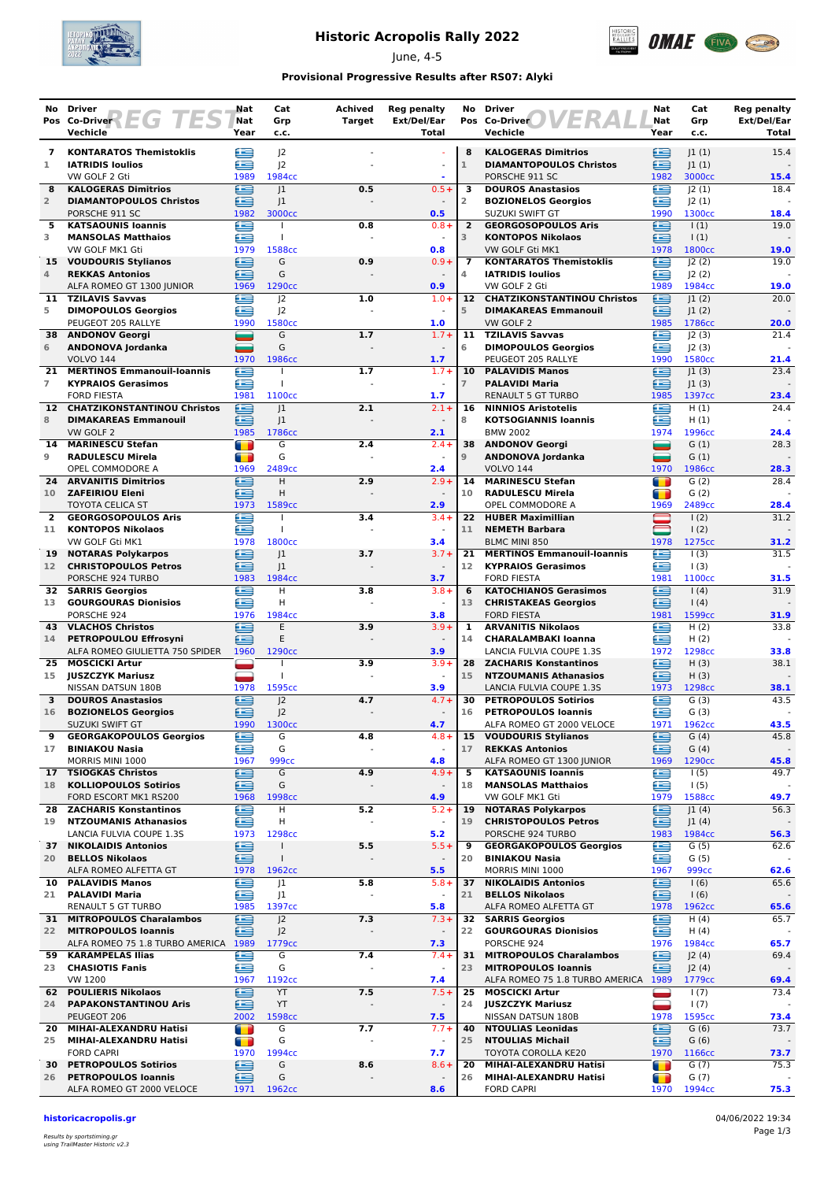

## **Historic Acropolis Rally 2022**

June, 4-5



### **Provisional Progressive Results after RS07: Alyki**

| No.                  | <b>Driver</b>                                                   | Nat                    | Cat                          | <b>Achived</b> | <b>Reg penalty</b>                 | No                  | <b>Driver</b>                                             | Nat                    | Cat                        | Reg penalty          |
|----------------------|-----------------------------------------------------------------|------------------------|------------------------------|----------------|------------------------------------|---------------------|-----------------------------------------------------------|------------------------|----------------------------|----------------------|
|                      | Pos Co-Driver $F \in G$ $T \in S$<br>Vechicle                   | Nat<br>Year            | Grp<br>c.c.                  | Target         | Ext/Del/Ear<br>Total               |                     | Pos Co-Driver<br>Vechicle                                 | Nat<br>Year            | Grp<br>c.c.                | Ext/Del/Ear<br>Total |
| $\overline{7}$       | <b>KONTARATOS Themistoklis</b>                                  | ≘                      | J <sub>2</sub>               |                |                                    | 8                   | <b>KALOGERAS Dimitrios</b>                                | ≘                      | 1(1)                       | 15.4                 |
| 1                    | <b>IATRIDIS Ioulios</b>                                         | æ                      | J <sub>2</sub>               |                | $\sim$                             | $\mathbf{1}$        | <b>DIAMANTOPOULOS Christos</b>                            | £                      | 1(1)                       |                      |
| 8                    | VW GOLF 2 Gti<br><b>KALOGERAS Dimitrios</b>                     | 1989<br>œ              | 1984cc<br> 1                 | 0.5            | $0.5 +$                            | 3                   | PORSCHE 911 SC<br><b>DOUROS Anastasios</b>                | 1982<br>œ              | 3000cc<br> 2(1)            | 15.4<br>18.4         |
| $\overline{2}$       | <b>DIAMANTOPOULOS Christos</b>                                  | £                      | 1                            |                |                                    | 2                   | <b>BOZIONELOS Georgios</b>                                | £                      | 2(1)                       |                      |
|                      | PORSCHE 911 SC                                                  | 1982                   | 3000cc                       |                | 0.5                                |                     | <b>SUZUKI SWIFT GT</b>                                    | 1990                   | 1300cc                     | 18.4                 |
| 5<br>3               | <b>KATSAOUNIS Ioannis</b><br><b>MANSOLAS Matthaios</b>          | æ<br>£                 | $\overline{1}$               | 0.8            | $0.8 +$<br>$\omega$                | $\overline{2}$<br>3 | <b>GEORGOSOPOULOS Aris</b><br><b>KONTOPOS Nikolaos</b>    | œ<br>⊟                 | $\vert$ (1)<br>1(1)        | 19.0                 |
|                      | VW GOLF MK1 Gti                                                 | 1979                   | 1588cc                       |                | 0.8                                |                     | VW GOLF Gti MK1                                           | 1978                   | 1800 <sub>cc</sub>         | 19.0                 |
|                      | 15 VOUDOURIS Stylianos                                          | ∈<br>œ                 | G<br>G                       | 0.9            | $0.9 +$                            | 7<br>4              | <b>KONTARATOS Themistoklis</b><br><b>IATRIDIS Ioulios</b> | £<br>£                 | J2(2)                      | 19.0                 |
| 4                    | <b>REKKAS Antonios</b><br>ALFA ROMEO GT 1300 JUNIOR             | 1969                   | 1290cc                       |                | 0.9                                |                     | VW GOLF 2 Gti                                             | 1989                   | J2(2)<br>1984cc            | 19.0                 |
| 11                   | <b>TZILAVIS Savvas</b>                                          | £                      | 2                            | 1.0            | $1.0 +$                            |                     | 12 CHATZIKONSTANTINOU Christos                            | £                      | 1(2)                       | 20.0                 |
| 5                    | <b>DIMOPOULOS Georgios</b><br>PEUGEOT 205 RALLYE                | œ<br>1990              | J <sub>2</sub><br>1580cc     |                | 1.0                                | 5                   | <b>DIMAKAREAS Emmanouil</b><br>VW GOLF 2                  | £<br>1985              | 1(2) <br>1786cc            | 20.0                 |
| 38                   | <b>ANDONOV Georgi</b>                                           | ═                      | G                            | 1.7            | $1.7 +$                            | 11                  | <b>TZILAVIS Savvas</b>                                    | Æ                      | J2(3)                      | 21.4                 |
| 6                    | ANDONOVA Jordanka                                               | ▄                      | G                            |                | $\blacksquare$                     | 6                   | <b>DIMOPOULOS Georgios</b>                                | £                      | J2(3)                      |                      |
| 21                   | <b>VOLVO 144</b><br><b>MERTINOS Emmanouil-Ioannis</b>           | 1970<br>€              | 1986cc                       | 1.7            | 1.7<br>$1.7 +$                     | 10                  | PEUGEOT 205 RALLYE<br><b>PALAVIDIS Manos</b>              | 1990<br>£              | 1580cc<br> 1(3)            | 21.4<br>23.4         |
| $\overline{7}$       | <b>KYPRAIOS Gerasimos</b>                                       | e                      | $\mathbf{I}$                 |                |                                    | $\overline{7}$      | <b>PALAVIDI Maria</b>                                     | £                      | 1(3)                       |                      |
|                      | <b>FORD FIESTA</b><br><b>CHATZIKONSTANTINOU Christos</b>        | 1981                   | 1100cc                       | 2.1            | 1.7<br>$2.1 +$                     | 16                  | <b>RENAULT 5 GT TURBO</b><br><b>NINNIOS Aristotelis</b>   | 1985<br>£              | 1397cc<br>H(1)             | 23.4<br>24.4         |
| 12 <sup>7</sup><br>8 | <b>DIMAKAREAS Emmanouil</b>                                     | ⋐<br>œ                 | 1<br> 1                      |                |                                    | 8                   | <b>KOTSOGIANNIS Ioannis</b>                               | œ                      | H(1)                       |                      |
|                      | VW GOLF 2                                                       | 1985                   | 1786cc                       |                | 2.1                                |                     | <b>BMW 2002</b>                                           | 1974                   | 1996cc                     | 24.4                 |
| 14<br>9              | <b>MARINESCU Stefan</b><br><b>RADULESCU Mirela</b>              | $\blacksquare$<br>т    | G<br>G                       | 2.4            | $2.4 +$<br>$\sim$                  | 38<br>$\mathsf g$   | <b>ANDONOV Georgi</b><br>ANDONOVA Jordanka                | ▄<br>═                 | G(1)<br>G(1)               | 28.3                 |
|                      | OPEL COMMODORE A                                                | 1969                   | 2489cc                       |                | 2.4                                |                     | <b>VOLVO 144</b>                                          | 1970                   | 1986cc                     | 28.3                 |
| 24                   | <b>ARVANITIS Dimitrios</b>                                      | œ                      | H                            | 2.9            | $2.9+$                             | 14                  | <b>MARINESCU Stefan</b>                                   | П                      | G(2)                       | 28.4                 |
| 10                   | <b>ZAFEIRIOU Eleni</b><br><b>TOYOTA CELICA ST</b>               | ∈<br>1973              | Н<br>1589 <sub>cc</sub>      |                | 2.9                                | 10                  | <b>RADULESCU Mirela</b><br>OPEL COMMODORE A               | т<br>1969              | G(2)<br>2489cc             | 28.4                 |
| $\mathbf{2}$         | <b>GEORGOSOPOULOS Aris</b>                                      | œ                      |                              | 3.4            | $3.4 +$                            |                     | 22 HUBER Maximillian                                      |                        | 1(2)                       | 31.2                 |
| 11                   | <b>KONTOPOS Nikolaos</b>                                        | œ                      | $\mathbf{I}$                 |                | $\sim$                             | 11                  | <b>NEMETH Barbara</b>                                     | —                      | 1(2)                       |                      |
| 19                   | VW GOLF Gti MK1<br><b>NOTARAS Polykarpos</b>                    | 1978<br>∈              | 1800cc<br> 1                 | 3.7            | 3.4<br>$3.7 +$                     | 21                  | <b>BLMC MINI 850</b><br><b>MERTINOS Emmanouil-Ioannis</b> | 1978<br>£              | 1275cc<br>1(3)             | 31.2<br>31.5         |
| 12                   | <b>CHRISTOPOULOS Petros</b>                                     | œ                      | 1                            |                |                                    | 12                  | <b>KYPRAIOS Gerasimos</b>                                 | œ                      | 1(3)                       |                      |
| 32                   | PORSCHE 924 TURBO<br><b>SARRIS Georgios</b>                     | 1983<br>œ              | 1984cc<br>Η                  | 3.8            | 3.7<br>$3.8 +$                     | 6                   | <b>FORD FIESTA</b><br><b>KATOCHIANOS Gerasimos</b>        | 1981<br>£              | 1100cc<br>1(4)             | 31.5<br>31.9         |
| 13                   | <b>GOURGOURAS Dionisios</b>                                     | £                      | Η                            |                |                                    | 13                  | <b>CHRISTAKEAS Georgios</b>                               | £                      | 1(4)                       |                      |
|                      | PORSCHE 924                                                     | 1976                   | 1984cc                       |                | 3.8                                |                     | <b>FORD FIESTA</b>                                        | 1981                   | 1599cc                     | 31.9                 |
| 43<br>14             | <b>VLACHOS Christos</b><br><b>PETROPOULOU Effrosyni</b>         | £<br>œ                 | E<br>E                       | 3.9            | $3.9+$<br>$\overline{\phantom{a}}$ | 1<br>14             | <b>ARVANITIS Nikolaos</b><br><b>CHARALAMBAKI Ioanna</b>   | £<br>£                 | H(2)<br>H(2)               | 33.8                 |
|                      | ALFA ROMEO GIULIETTA 750 SPIDER                                 | 1960                   | 1290 <sub>cc</sub>           |                | 3.9                                |                     | LANCIA FULVIA COUPE 1.3S                                  | 1972                   | 1298cc                     | 33.8                 |
| 25                   | <b>MOSCICKI Artur</b>                                           | -                      |                              | 3.9            | $3.9+$                             | 28                  | <b>ZACHARIS Konstantinos</b>                              | e                      | H(3)                       | 38.1                 |
| 15                   | <b>JUSZCZYK Mariusz</b><br>NISSAN DATSUN 180B                   | 1978                   | $\mathbf{I}$<br>1595cc       |                | $\blacksquare$<br>3.9              | 15                  | <b>NTZOUMANIS Athanasios</b><br>LANCIA FULVIA COUPE 1.3S  | £<br>1973              | H(3)<br>1298cc             | 38.1                 |
| 3                    | <b>DOUROS Anastasios</b>                                        | €                      | J <sub>2</sub>               | 4.7            | $4.7 +$                            | 30                  | <b>PETROPOULOS Sotirios</b>                               | ≘                      | G(3)                       | 43.5                 |
| 16                   | <b>BOZIONELOS Georgios</b><br><b>SUZUKI SWIFT GT</b>            | £                      | J <sub>2</sub>               |                |                                    | 16                  | <b>PETROPOULOS Ioannis</b>                                | £                      | G(3)                       |                      |
| 9                    | <b>GEORGAKOPOULOS Georgios</b>                                  | 1990<br>e              | 1300cc<br>G                  | 4.8            | 4.7<br>$4.8 +$                     | 15                  | ALFA ROMEO GT 2000 VELOCE<br><b>VOUDOURIS Stylianos</b>   | 1971<br>e              | 1962cc<br>G(4)             | 43.5<br>45.8         |
| 17                   | <b>BINIAKOU Nasia</b>                                           | œ                      | G                            |                | $\omega$                           | 17                  | <b>REKKAS Antonios</b>                                    | ⊟                      | G(4)                       |                      |
| 17                   | MORRIS MINI 1000<br><b>TSIOGKAS Christos</b>                    | 1967<br>⊟              | 999 <sub>cc</sub><br>G       | 4.9            | 4.8<br>$4.9 +$                     | 5                   | ALFA ROMEO GT 1300 JUNIOR<br><b>KATSAOUNIS Ioannis</b>    | 1969<br>e              | 1290cc<br>1(5)             | 45.8<br>49.7         |
| 18                   | <b>KOLLIOPOULOS Sotirios</b>                                    | ∈                      | G                            |                | $\blacksquare$                     | 18                  | <b>MANSOLAS Matthaios</b>                                 | ≘                      | 1(5)                       |                      |
|                      | FORD ESCORT MK1 RS200                                           | 1968                   | 1998 <sub>cc</sub>           |                | 4.9                                |                     | VW GOLF MK1 Gti                                           | 1979                   | 1588cc                     | 49.7                 |
| 28<br>19             | <b>ZACHARIS Konstantinos</b><br><b>NTZOUMANIS Athanasios</b>    | ⊜<br>£                 | н<br>н                       | 5.2            | $5.2 +$<br>$\bar{a}$               | 19<br>19            | <b>NOTARAS Polykarpos</b><br><b>CHRISTOPOULOS Petros</b>  | ⊜<br>≘                 | J1(4)<br>J1(4)             | 56.3                 |
|                      | LANCIA FULVIA COUPE 1.3S                                        | 1973                   | 1298cc                       |                | 5.2                                |                     | PORSCHE 924 TURBO                                         | 1983                   | 1984cc                     | 56.3                 |
| 37                   | <b>NIKOLAIDIS Antonios</b>                                      | ∈<br>œ                 | $\mathbf{I}$<br>$\mathbf{I}$ | 5.5            | $5.5+$                             | 9<br>20             | <b>GEORGAKOPOULOS Georgios</b>                            | £                      | G(5)<br>G(5)               | 62.6                 |
| 20                   | <b>BELLOS Nikolaos</b><br>ALFA ROMEO ALFETTA GT                 | 1978                   | 1962cc                       |                | $\overline{\phantom{a}}$<br>5.5    |                     | <b>BINIAKOU Nasia</b><br>MORRIS MINI 1000                 | ≘<br>1967              | <b>999cc</b>               | 62.6                 |
| 10                   | <b>PALAVIDIS Manos</b>                                          | ∈                      | J1                           | 5.8            | $5.8 +$                            | 37                  | <b>NIKOLAIDIS Antonios</b>                                | ≘                      | 1(6)                       | 65.6                 |
| 21                   | <b>PALAVIDI Maria</b><br><b>RENAULT 5 GT TURBO</b>              | €<br>1985              | J1<br>1397cc                 |                | 5.8                                | 21                  | <b>BELLOS Nikolaos</b><br>ALFA ROMEO ALFETTA GT           | ఆ<br>1978              | 1(6)<br>1962cc             | 65.6                 |
| 31                   | <b>MITROPOULOS Charalambos</b>                                  | ⋐                      | J <sub>2</sub>               | 7.3            | $7.3+$                             | 32                  | <b>SARRIS Georgios</b>                                    | ∈                      | H(4)                       | 65.7                 |
| 22                   | <b>MITROPOULOS Ioannis</b>                                      | æ                      | J <sup>2</sup>               |                | $\sim$                             | 22                  | <b>GOURGOURAS Dionisios</b>                               | ≘                      | H(4)                       |                      |
| 59                   | ALFA ROMEO 75 1.8 TURBO AMERICA 1989<br><b>KARAMPELAS Ilias</b> | œ                      | 1779 <sub>cc</sub><br>G      | 7.4            | 7.3<br>$7.4 +$                     |                     | PORSCHE 924<br>31 MITROPOULOS Charalambos                 | 1976<br>€              | 1984cc<br>J2(4)            | 65.7<br>69.4         |
| 23                   | <b>CHASIOTIS Fanis</b>                                          | ≘                      | G                            | L,             | $\overline{\phantom{a}}$           | 23                  | <b>MITROPOULOS Ioannis</b>                                | ≘                      | J2(4)                      |                      |
|                      | VW 1200                                                         | 1967                   | 1192cc                       |                | 7.4                                |                     | ALFA ROMEO 75 1.8 TURBO AMERICA 1989                      |                        | 1779cc                     | 69.4                 |
| 62<br>24             | <b>POULIERIS Nikolaos</b><br><b>PAPAKONSTANTINOU Aris</b>       | £<br>∈                 | YT<br>YT                     | 7.5            | $7.5+$<br>$\overline{\phantom{a}}$ | 25<br>24            | <b>MOSCICKI Artur</b><br><b>JUSZCZYK Mariusz</b>          | $\blacksquare$         | 1(7)<br>1(7)               | 73.4                 |
|                      | PEUGEOT 206                                                     | 2002                   | 1598cc                       |                | 7.5                                |                     | NISSAN DATSUN 180B                                        | 1978                   | 1595cc                     | 73.4                 |
| 20<br>25             | MIHAI-ALEXANDRU Hatisi<br>MIHAI-ALEXANDRU Hatisi                | $\blacksquare$         | G<br>G                       | 7.7            | $7.7+$<br>$\sim$                   | 40<br>25            | <b>NTOULIAS Leonidas</b><br><b>NTOULIAS Michail</b>       | ⊟                      | G(6)<br>G(6)               | 73.7                 |
|                      | <b>FORD CAPRI</b>                                               | $\blacksquare$<br>1970 | 1994cc                       |                | 7.7                                |                     | TOYOTA COROLLA KE20                                       | ≘<br>1970              | 1166cc                     | 73.7                 |
|                      | 30 PETROPOULOS Sotirios                                         | €                      | G                            | 8.6            | $8.6+$                             | 20                  | MIHAI-ALEXANDRU Hatisi                                    | $\blacksquare$         | G(7)                       | 75.3                 |
| 26                   | <b>PETROPOULOS Ioannis</b><br>ALFA ROMEO GT 2000 VELOCE         | £<br>1971              | G<br>1962cc                  |                | 8.6                                | 26                  | MIHAI-ALEXANDRU Hatisi<br><b>FORD CAPRI</b>               | $\blacksquare$<br>1970 | G(7)<br>1994 <sub>cc</sub> | 75.3                 |
|                      |                                                                 |                        |                              |                |                                    |                     |                                                           |                        |                            |                      |

**historicacropolis.gr** 04/06/2022 19:34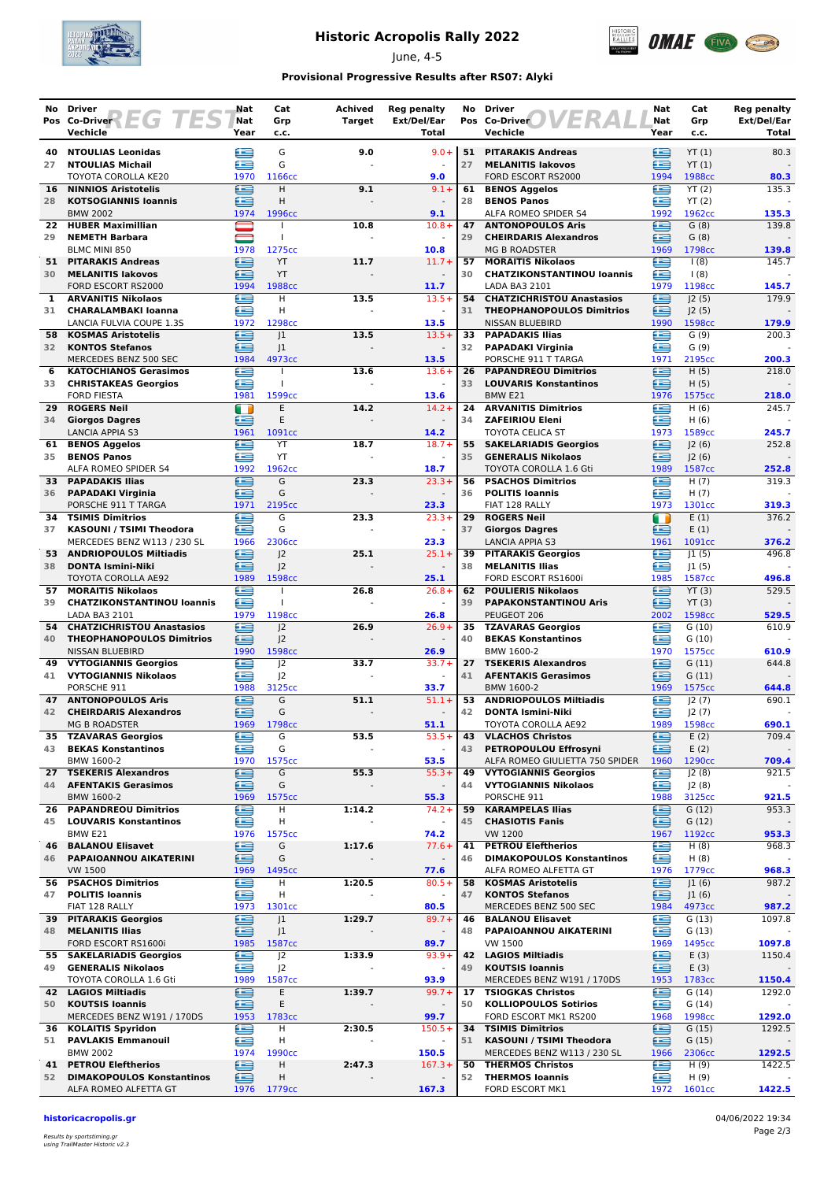

## **Historic Acropolis Rally 2022**

June, 4-5



### **Provisional Progressive Results after RS07: Alyki**

|          | No Driver                                                | Nat                          | Cat                              | Achived       | <b>Reg penalty</b>       | No       | <b>Driver</b><br>1ER                                          | Nat         | Cat             | <b>Reg penalty</b>   |
|----------|----------------------------------------------------------|------------------------------|----------------------------------|---------------|--------------------------|----------|---------------------------------------------------------------|-------------|-----------------|----------------------|
|          | EG 1<br>Pos Co-Driver<br>Vechicle                        | Nat<br>Year                  | Grp<br>c.c.                      | <b>Target</b> | Ext/Del/Ear<br>Total     |          | Pos Co-Driver<br>Vechicle                                     | Nat<br>Year | Grp<br>c.c.     | Ext/Del/Ear<br>Total |
| 40       | <b>NTOULIAS Leonidas</b>                                 | e                            | G                                | 9.0           | $9.0 +$                  |          | 51 PITARAKIS Andreas                                          | ≘           | YT(1)           | 80.3                 |
| 27       | <b>NTOULIAS Michail</b>                                  | æ                            | G                                |               |                          | 27       | <b>MELANITIS lakovos</b>                                      | œ           | YT(1)           |                      |
|          | TOYOTA COROLLA KE20                                      | 1970                         | 1166cc                           |               | 9.0                      |          | FORD ESCORT RS2000                                            | 1994        | 1988cc          | 80.3                 |
| 16       | <b>NINNIOS Aristotelis</b>                               | ≘                            | н                                | 9.1           | $9.1 +$                  | 61       | <b>BENOS Aggelos</b>                                          | ≘           | YT(2)           | 135.3                |
| 28       | <b>KOTSOGIANNIS loannis</b><br><b>BMW 2002</b>           | £<br>1974                    | Н<br>1996сс                      |               | 9.1                      | 28       | <b>BENOS Panos</b><br>ALFA ROMEO SPIDER S4                    | œ<br>1992   | YT(2)<br>1962cc | 135.3                |
| 22       | <b>HUBER Maximillian</b>                                 |                              |                                  | 10.8          | $10.8 +$                 | 47       | <b>ANTONOPOULOS Aris</b>                                      | £           | G(8)            | 139.8                |
| 29       | <b>NEMETH Barbara</b>                                    | $\qquad \qquad \blacksquare$ | $\mathbf{I}$                     |               | $\blacksquare$           | 29       | <b>CHEIRDARIS Alexandros</b>                                  | œ           | G(8)            |                      |
|          | BLMC MINI 850                                            | 1978                         | 1275cc                           |               | 10.8                     |          | <b>MG B ROADSTER</b>                                          | 1969        | 1798cc          | 139.8                |
| 51<br>30 | <b>PITARAKIS Andreas</b><br><b>MELANITIS lakovos</b>     | ∈<br>ఆ                       | YT<br>YT                         | 11.7          | $11.7 +$                 | 57<br>30 | <b>MORAITIS Nikolaos</b><br><b>CHATZIKONSTANTINOU loannis</b> | œ<br>≘      | 1(8)<br>1(8)    | 145.7                |
|          | FORD ESCORT RS2000                                       | 1994                         | 1988cc                           |               | 11.7                     |          | LADA BA3 2101                                                 | 1979        | 1198cc          | 145.7                |
| 1        | <b>ARVANITIS Nikolaos</b>                                | £                            | н                                | 13.5          | $13.5+$                  | 54       | <b>CHATZICHRISTOU Anastasios</b>                              | £           | J2(5)           | 179.9                |
| 31       | <b>CHARALAMBAKI Ioanna</b>                               | œ                            | н                                |               |                          | 31       | <b>THEOPHANOPOULOS Dimitrios</b>                              | œ           | J2(5)           |                      |
| 58       | LANCIA FULVIA COUPE 1.3S<br><b>KOSMAS Aristotelis</b>    | 1972<br>≘                    | 1298cc<br> 1                     | 13.5          | 13.5<br>$13.5+$          | 33       | NISSAN BLUEBIRD<br><b>PAPADAKIS Ilias</b>                     | 1990<br>æ   | 1598cc<br>G(9)  | 179.9<br>200.3       |
| 32       | <b>KONTOS Stefanos</b>                                   | ≘                            | 1                                |               | $\blacksquare$           | 32       | <b>PAPADAKI Virginia</b>                                      | £           | G(9)            |                      |
|          | MERCEDES BENZ 500 SEC                                    | 1984                         | 4973cc                           |               | 13.5                     |          | PORSCHE 911 T TARGA                                           | 1971        | 2195cc          | 200.3                |
| 6        | <b>KATOCHIANOS Gerasimos</b>                             | €                            | $\mathbf{I}$                     | 13.6          | $13.6+$                  | 26       | <b>PAPANDREOU Dimitrios</b>                                   | ≘           | H(5)            | 218.0                |
| 33       | <b>CHRISTAKEAS Georgios</b><br><b>FORD FIESTA</b>        | Æ<br>1981                    | T<br>1599cc                      |               | 13.6                     | 33       | <b>LOUVARIS Konstantinos</b><br>BMW E21                       | ≘<br>1976   | H(5)<br>1575cc  | 218.0                |
| 29       | <b>ROGERS Neil</b>                                       | m                            | E                                | 14.2          | $14.2 +$                 | 24       | <b>ARVANITIS Dimitrios</b>                                    | œ           | H(6)            | 245.7                |
| 34       | <b>Giorgos Dagres</b>                                    | ≘                            | E                                |               |                          | 34       | <b>ZAFEIRIOU Eleni</b>                                        | œ           | H(6)            |                      |
|          | <b>LANCIA APPIA S3</b>                                   | 1961                         | 1091cc                           |               | 14.2                     |          | TOYOTA CELICA ST                                              | 1973        | 1589cc          | 245.7                |
| 61       | <b>BENOS Aggelos</b>                                     | ⋐<br>£                       | YT                               | 18.7          | $18.7 +$                 | 55       | <b>SAKELARIADIS Georgios</b>                                  | ≘           | 2(6)            | 252.8                |
| 35       | <b>BENOS Panos</b><br>ALFA ROMEO SPIDER S4               | 1992                         | YT<br>1962cc                     |               | $\blacksquare$<br>18.7   | 35       | <b>GENERALIS Nikolaos</b><br>TOYOTA COROLLA 1.6 Gti           | ≘<br>1989   | 2(6) <br>1587cc | 252.8                |
|          | 33 PAPADAKIS Ilias                                       | œ                            | G                                | 23.3          | $23.3+$                  | 56       | <b>PSACHOS Dimitrios</b>                                      | œ           | H(7)            | 319.3                |
| 36       | <b>PAPADAKI Virginia</b>                                 | ఆ                            | G                                |               |                          | 36       | <b>POLITIS Ioannis</b>                                        | œ           | H(7)            |                      |
|          | PORSCHE 911 T TARGA                                      | 1971                         | 2195cc                           |               | 23.3                     |          | FIAT 128 RALLY                                                | 1973        | 1301cc          | 319.3                |
| 34<br>37 | <b>TSIMIS Dimitrios</b><br>KASOUNI / TSIMI Theodora      | £<br>£                       | G<br>G                           | 23.3          | $23.3+$                  | 29<br>37 | <b>ROGERS Neil</b><br><b>Giorgos Dagres</b>                   | Œ<br>≘      | E(1)<br>E(1)    | 376.2                |
|          | MERCEDES BENZ W113 / 230 SL                              | 1966                         | 2306cc                           |               | 23.3                     |          | <b>LANCIA APPIA S3</b>                                        | 1961        | 1091cc          | 376.2                |
| 53.      | <b>ANDRIOPOULOS Miltiadis</b>                            | ≘                            | J <sub>2</sub>                   | 25.1          | $25.1 +$                 | 39       | <b>PITARAKIS Georgios</b>                                     | ≘           | 1(5)            | 496.8                |
| 38       | <b>DONTA Ismini-Niki</b>                                 | æ                            | J <sub>2</sub>                   |               |                          | 38       | <b>MELANITIS Ilias</b>                                        | œ           | 1(5)            |                      |
| 57       | TOYOTA COROLLA AE92<br><b>MORAITIS Nikolaos</b>          | 1989<br>e                    | 1598cc                           | 26.8          | 25.1<br>$26.8+$          | 62       | FORD ESCORT RS1600i<br><b>POULIERIS Nikolaos</b>              | 1985<br>œ   | 1587cc<br>YT(3) | 496.8<br>529.5       |
| 39       | <b>CHATZIKONSTANTINOU loannis</b>                        | £                            |                                  |               |                          | 39       | <b>PAPAKONSTANTINOU Aris</b>                                  | œ           | YT(3)           |                      |
|          | LADA BA3 2101                                            | 1979                         | 1198cc                           |               | 26.8                     |          | PEUGEOT 206                                                   | 2002        | 1598cc          | 529.5                |
| 54       | <b>CHATZICHRISTOU Anastasios</b>                         | ≘                            | J <sub>2</sub>                   | 26.9          | $26.9+$                  | 35       | <b>TZAVARAS Georgios</b>                                      | œ           | G(10)           | 610.9                |
|          | 40 THEOPHANOPOULOS Dimitrios<br><b>NISSAN BLUEBIRD</b>   | ≘<br>1990                    | 2<br>1598cc                      |               | 26.9                     | 40       | <b>BEKAS Konstantinos</b><br>BMW 1600-2                       | ≘<br>1970   | G(10)           | 610.9                |
| 49.      | <b>VYTOGIANNIS Georgios</b>                              | œ                            | J <sub>2</sub>                   | 33.7          | $33.7 +$                 | 27       | <b>TSEKERIS Alexandros</b>                                    | ⊟           | 1575cc<br>G(11) | 644.8                |
| 41       | <b>VYTOGIANNIS Nikolaos</b>                              | £                            | J <sub>2</sub>                   |               | $\sim$                   | 41       | <b>AFENTAKIS Gerasimos</b>                                    | œ           | G(11)           |                      |
|          | PORSCHE 911                                              | 1988                         | 3125cc                           |               | 33.7                     |          | BMW 1600-2                                                    | 1969        | 1575cc          | 644.8                |
| 47       | <b>ANTONOPOULOS Aris</b>                                 | €                            | G<br>G                           | 51.1          | $51.1+$                  | 53       | <b>ANDRIOPOULOS Miltiadis</b>                                 | £           | J2(7)           | 690.1                |
| 42       | <b>CHEIRDARIS Alexandros</b><br><b>MG B ROADSTER</b>     | £<br>1969                    | 1798cc                           |               | 51.1                     | 42       | <b>DONTA Ismini-Niki</b><br>TOYOTA COROLLA AE92               | ⊟<br>1989   | J2(7)<br>1598cc | 690.1                |
| 35       | <b>TZAVARAS Georgios</b>                                 | e                            | G                                | 53.5          | $53.5+$                  | 43       | <b>VLACHOS Christos</b>                                       | ⊜           | E(2)            | 709.4                |
| 43       | <b>BEKAS Konstantinos</b>                                | œ                            | G                                |               |                          | 43       | PETROPOULOU Effrosyni                                         | ≘           | E(2)            |                      |
|          | BMW 1600-2                                               | 1970                         | 1575cc                           |               | 53.5                     |          | ALFA ROMEO GIULIETTA 750 SPIDER                               | 1960        | 1290cc          | 709.4                |
| 27<br>44 | <b>TSEKERIS Alexandros</b><br><b>AFENTAKIS Gerasimos</b> | €<br>≘                       | G<br>G                           | 55.3          | $55.3+$                  | 49<br>44 | <b>VYTOGIANNIS Georgios</b><br><b>VYTOGIANNIS Nikolaos</b>    | œ<br>≘      | J2(8)<br>J2(8)  | 921.5                |
|          | BMW 1600-2                                               | 1969                         | 1575cc                           |               | 55.3                     |          | PORSCHE 911                                                   | 1988        | 3125cc          | 921.5                |
| 26       | <b>PAPANDREOU Dimitrios</b>                              | e                            | Н                                | 1:14.2        | $74.2 +$                 | 59       | <b>KARAMPELAS Ilias</b>                                       | ⊜           | G(12)           | 953.3                |
| 45       | <b>LOUVARIS Konstantinos</b>                             | œ                            | н                                |               | $\blacksquare$           | 45       | <b>CHASIOTIS Fanis</b>                                        | ≘           | G(12)           |                      |
| 46       | BMW E21<br><b>BALANOU Elisavet</b>                       | 1976<br>≘                    | 1575cc<br>G                      | 1:17.6        | 74.2<br>$77.6+$          | 41       | VW 1200<br><b>PETROU Eleftherios</b>                          | 1967<br>£   | 1192cc<br>H(8)  | 953.3<br>968.3       |
| 46       | PAPAIOANNOU AIKATERINI                                   | ≘                            | G                                |               | $\overline{\phantom{a}}$ | 46       | <b>DIMAKOPOULOS Konstantinos</b>                              | £           | H(8)            |                      |
|          | <b>VW 1500</b>                                           | 1969                         | 1495cc                           |               | 77.6                     |          | ALFA ROMEO ALFETTA GT                                         | 1976        | 1779cc          | 968.3                |
|          | 56 PSACHOS Dimitrios                                     | £                            | H                                | 1:20.5        | $80.5+$                  | 58       | <b>KOSMAS Aristotelis</b>                                     | ⊟           | J1(6)           | 987.2                |
| 47       | <b>POLITIS Ioannis</b><br>FIAT 128 RALLY                 | €<br>1973                    | H<br>1301cc                      |               | 80.5                     | 47       | <b>KONTOS Stefanos</b><br>MERCEDES BENZ 500 SEC               | ఆ<br>1984   | J1(6)<br>4973cc | 987.2                |
| 39       | <b>PITARAKIS Georgios</b>                                | e                            | J1                               | 1:29.7        | $89.7 +$                 | 46       | <b>BALANOU Elisavet</b>                                       | ⊜           | G(13)           | 1097.8               |
| 48       | <b>MELANITIS Ilias</b>                                   | ≘                            | J <sub>1</sub>                   |               |                          | 48       | PAPAIOANNOU AIKATERINI                                        | œ           | G(13)           |                      |
|          | FORD ESCORT RS1600i                                      | 1985                         | 1587cc                           |               | 89.7                     |          | VW 1500                                                       | 1969        | 1495cc          | 1097.8               |
| 49       | 55 SAKELARIADIS Georgios<br><b>GENERALIS Nikolaos</b>    | ⋐<br>≘                       | J <sup>2</sup><br>J <sup>2</sup> | 1:33.9        | $93.9+$                  | 42<br>49 | <b>LAGIOS Miltiadis</b><br><b>KOUTSIS Ioannis</b>             | ⊟<br>≘      | E(3)<br>E(3)    | 1150.4               |
|          | TOYOTA COROLLA 1.6 Gti                                   | 1989                         | 1587cc                           |               | 93.9                     |          | MERCEDES BENZ W191 / 170DS                                    | 1953        | 1783cc          | 1150.4               |
| 42       | <b>LAGIOS Miltiadis</b>                                  | £                            | Ε                                | 1:39.7        | $99.7 +$                 | 17       | <b>TSIOGKAS Christos</b>                                      | ≘           | G(14)           | 1292.0               |
| 50       | <b>KOUTSIS Ioannis</b>                                   | ∈                            | Ε                                |               | $\overline{\phantom{a}}$ | 50       | <b>KOLLIOPOULOS Sotirios</b>                                  | œ           | G(14)           |                      |
|          | MERCEDES BENZ W191 / 170DS                               | 1953                         | 1783cc                           |               | 99.7<br>$150.5+$         | 34       | FORD ESCORT MK1 RS200                                         | 1968        | 1998cc          | 1292.0               |
| 36<br>51 | <b>KOLAITIS Spyridon</b><br><b>PAVLAKIS Emmanouil</b>    | e<br>≘                       | н<br>н                           | 2:30.5        | $\blacksquare$           | 51       | <b>TSIMIS Dimitrios</b><br>KASOUNI / TSIMI Theodora           | ⊜<br>≘      | G(15)<br>G(15)  | 1292.5               |
|          | <b>BMW 2002</b>                                          | 1974                         | 1990cc                           |               | 150.5                    |          | MERCEDES BENZ W113 / 230 SL                                   | 1966        | 2306cc          | 1292.5               |
| 41       | <b>PETROU Eleftherios</b>                                | €                            | н                                | 2:47.3        | $167.3+$                 | 50       | <b>THERMOS Christos</b>                                       | €           | H(9)            | 1422.5               |
| 52       | <b>DIMAKOPOULOS Konstantinos</b>                         | ∈                            | Н                                |               |                          | 52       | <b>THERMOS loannis</b>                                        | œ           | H(9)            |                      |
|          | ALFA ROMEO ALFETTA GT                                    | 1976                         | 1779 <sub>cc</sub>               |               | 167.3                    |          | FORD ESCORT MK1                                               | 1972        | 1601cc          | 1422.5               |

**historicacropolis.gr** 04/06/2022 19:34

Results by sportstiming.gr using TrailMaster Historic v2.3